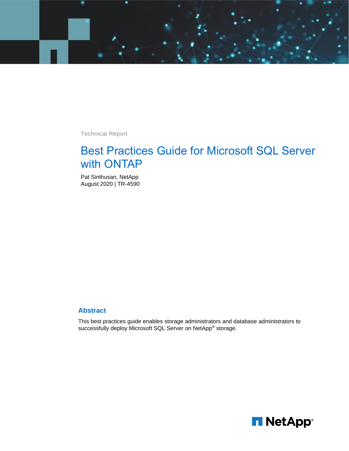

Technical Report

# Best Practices Guide for Microsoft SQL Server with ONTAP

Pat Sinthusan, NetApp August 2020 | TR-4590

#### **Abstract**

This best practices guide enables storage administrators and database administrators to successfully deploy Microsoft SQL Server on NetApp® storage.

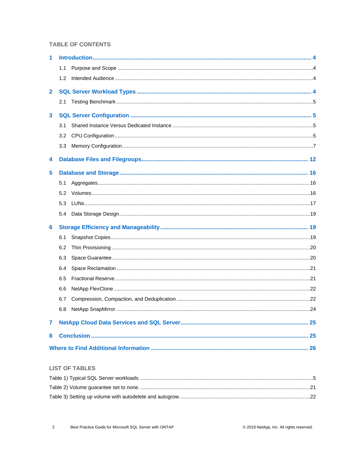#### **TABLE OF CONTENTS**

| 1            |     |  |  |
|--------------|-----|--|--|
|              | 1.1 |  |  |
|              | 1.2 |  |  |
| $\mathbf{2}$ |     |  |  |
|              | 2.1 |  |  |
| 3            |     |  |  |
|              | 3.1 |  |  |
|              | 3.2 |  |  |
|              | 3.3 |  |  |
| 4            |     |  |  |
| 5            |     |  |  |
|              | 5.1 |  |  |
|              | 5.2 |  |  |
|              | 5.3 |  |  |
|              | 5.4 |  |  |
| 6            |     |  |  |
|              | 6.1 |  |  |
|              | 6.2 |  |  |
|              | 6.3 |  |  |
|              | 6.4 |  |  |
|              | 6.5 |  |  |
|              | 6.6 |  |  |
|              | 6.7 |  |  |
|              |     |  |  |
| 7            |     |  |  |
| 8            |     |  |  |
|              |     |  |  |
|              |     |  |  |

#### **LIST OF TABLES**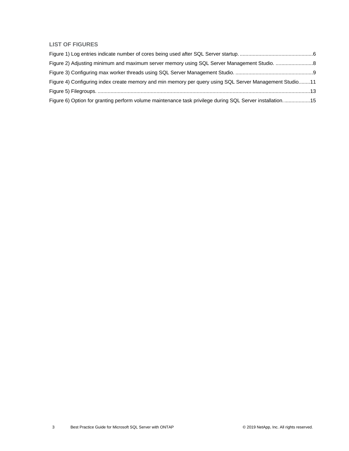#### **LIST OF FIGURES**

| Figure 4) Configuring index create memory and min memory per query using SQL Server Management Studio11  |  |
|----------------------------------------------------------------------------------------------------------|--|
|                                                                                                          |  |
| Figure 6) Option for granting perform volume maintenance task privilege during SQL Server installation15 |  |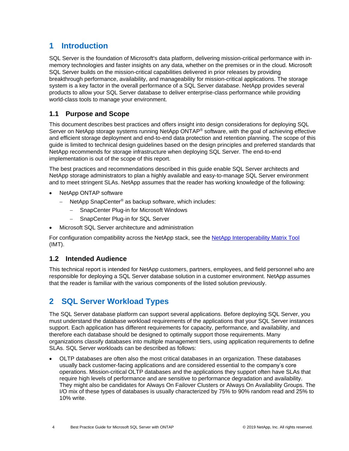### <span id="page-3-0"></span>**1 Introduction**

SQL Server is the foundation of Microsoft's data platform, delivering mission-critical performance with inmemory technologies and faster insights on any data, whether on the premises or in the cloud. Microsoft SQL Server builds on the mission-critical capabilities delivered in prior releases by providing breakthrough performance, availability, and manageability for mission-critical applications. The storage system is a key factor in the overall performance of a SQL Server database. NetApp provides several products to allow your SQL Server database to deliver enterprise-class performance while providing world-class tools to manage your environment.

#### <span id="page-3-1"></span>**1.1 Purpose and Scope**

This document describes best practices and offers insight into design considerations for deploying SQL Server on NetApp storage systems running NetApp ONTAP® software, with the goal of achieving effective and efficient storage deployment and end-to-end data protection and retention planning. The scope of this guide is limited to technical design guidelines based on the design principles and preferred standards that NetApp recommends for storage infrastructure when deploying SQL Server. The end-to-end implementation is out of the scope of this report.

The best practices and recommendations described in this guide enable SQL Server architects and NetApp storage administrators to plan a highly available and easy-to-manage SQL Server environment and to meet stringent SLAs. NetApp assumes that the reader has working knowledge of the following:

- NetApp ONTAP software
	- NetApp SnapCenter<sup>®</sup> as backup software, which includes:
		- − SnapCenter Plug-in for Microsoft Windows
		- − SnapCenter Plug-in for SQL Server
- Microsoft SQL Server architecture and administration

For configuration compatibility across the NetApp stack, see the [NetApp Interoperability Matrix Tool](http://mysupport.netapp.com/NOW/products/interoperability/) (IMT).

#### <span id="page-3-2"></span>**1.2 Intended Audience**

This technical report is intended for NetApp customers, partners, employees, and field personnel who are responsible for deploying a SQL Server database solution in a customer environment. NetApp assumes that the reader is familiar with the various components of the listed solution previously.

### <span id="page-3-3"></span>**2 SQL Server Workload Types**

The SQL Server database platform can support several applications. Before deploying SQL Server, you must understand the database workload requirements of the applications that your SQL Server instances support. Each application has different requirements for capacity, performance, and availability, and therefore each database should be designed to optimally support those requirements. Many organizations classify databases into multiple management tiers, using application requirements to define SLAs. SQL Server workloads can be described as follows:

• OLTP databases are often also the most critical databases in an organization. These databases usually back customer-facing applications and are considered essential to the company's core operations. Mission-critical OLTP databases and the applications they support often have SLAs that require high levels of performance and are sensitive to performance degradation and availability. They might also be candidates for Always On Failover Clusters or Always On Availability Groups. The I/O mix of these types of databases is usually characterized by 75% to 90% random read and 25% to 10% write.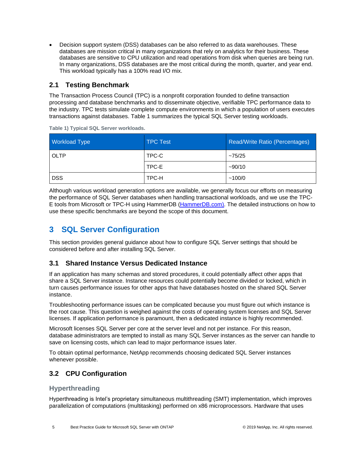• Decision support system (DSS) databases can be also referred to as data warehouses. These databases are mission critical in many organizations that rely on analytics for their business. These databases are sensitive to CPU utilization and read operations from disk when queries are being run. In many organizations, DSS databases are the most critical during the month, quarter, and year end. This workload typically has a 100% read I/O mix.

#### <span id="page-4-0"></span>**2.1 Testing Benchmark**

The Transaction Process Council (TPC) is a nonprofit corporation founded to define transaction processing and database benchmarks and to disseminate objective, verifiable TPC performance data to the industry. TPC tests simulate complete compute environments in which a population of users executes transactions against databases. Table 1 summarizes the typical SQL Server testing workloads.

| <b>Workload Type</b> | <b>TPC Test</b> | Read/Write Ratio (Percentages) |
|----------------------|-----------------|--------------------------------|
| OLTP                 | TPC-C           | ~275/25                        |
|                      | TPC-E           | $-90/10$                       |
| <b>DSS</b>           | TPC-H           | ~100/0                         |

<span id="page-4-4"></span>**Table 1) Typical SQL Server workloads.**

Although various workload generation options are available, we generally focus our efforts on measuring the performance of SQL Server databases when handling transactional workloads, and we use the TPC-E tools from Microsoft or TPC-H using HammerDB [\(HammerDB.com\)](http://www.hammerdb.com/document.html). The detailed instructions on how to use these specific benchmarks are beyond the scope of this document.

## <span id="page-4-1"></span>**3 SQL Server Configuration**

This section provides general guidance about how to configure SQL Server settings that should be considered before and after installing SQL Server.

#### <span id="page-4-2"></span>**3.1 Shared Instance Versus Dedicated Instance**

If an application has many schemas and stored procedures, it could potentially affect other apps that share a SQL Server instance. Instance resources could potentially become divided or locked, which in turn causes performance issues for other apps that have databases hosted on the shared SQL Server instance.

Troubleshooting performance issues can be complicated because you must figure out which instance is the root cause. This question is weighed against the costs of operating system licenses and SQL Server licenses. If application performance is paramount, then a dedicated instance is highly recommended.

Microsoft licenses SQL Server per core at the server level and not per instance. For this reason, database administrators are tempted to install as many SQL Server instances as the server can handle to save on licensing costs, which can lead to major performance issues later.

To obtain optimal performance, NetApp recommends choosing dedicated SQL Server instances whenever possible.

### <span id="page-4-3"></span>**3.2 CPU Configuration**

#### **Hyperthreading**

Hyperthreading is Intel's proprietary simultaneous multithreading (SMT) implementation, which improves parallelization of computations (multitasking) performed on x86 microprocessors. Hardware that uses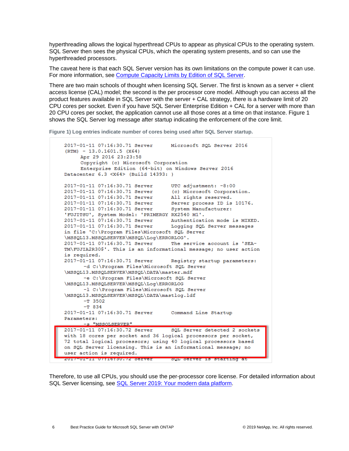hyperthreading allows the logical hyperthread CPUs to appear as physical CPUs to the operating system. SQL Server then sees the physical CPUs, which the operating system presents, and so can use the hyperthreaded processors.

The caveat here is that each SQL Server version has its own limitations on the compute power it can use. For more information, see [Compute Capacity Limits by Edition of SQL Server.](https://msdn.microsoft.com/en-us/library/ms143760.aspx)

There are two main schools of thought when licensing SQL Server. The first is known as a server + client access license (CAL) model; the second is the per processor core model. Although you can access all the product features available in SQL Server with the server + CAL strategy, there is a hardware limit of 20 CPU cores per socket. Even if you have SQL Server Enterprise Edition + CAL for a server with more than 20 CPU cores per socket, the application cannot use all those cores at a time on that instance. Figure 1 shows the SQL Server log message after startup indicating the enforcement of the core limit.

<span id="page-5-0"></span>**Figure 1) Log entries indicate number of cores being used after SQL Server startup.**

```
2017-01-11 07:16:30.71 Server
                                      Microsoft SQL Server 2016
(RTM) - 13.0.1601.5 (X64)Apr 29 2016 23:23:58
      Copyright (c) Microsoft Corporation
      Enterprise Edition (64-bit) on Windows Server 2016
Datacenter 6.3 <X64> (Build 14393: )
2017-01-11 07:16:30.71 Server UTC adjustment: -8:00<br>
2017-01-11 07:16:30.71 Server (c) Microsoft Corporation.<br>
2017-01-11 07:16:30.71 Server all rights reserved.<br>
2017-01-11 07:16:30.71 Server Server process ID is 10176.<br>

'FUJITSU', System Model: 'PRIMERGY RX2540 M1'.
2017-01-11 07:16:30.71 Server Authentication mode is MIXED.<br>2017-01-11 07:16:30.71 Server Logging SQL Server messages
in file 'C:\Program Files\Microsoft SQL Server
\MSSQL13.MSSQLSERVER\MSSQL\Log\ERRORLOG'.
2017-01-11 07:16:30.71 Server The service account is 'SEA-
TM\FUJIA2R30$'. This is an informational message; no user action
is required.
2017-01-11 07:16:30.71 Server
                                      Registry startup parameters:
       -d C:\Program Files\Microsoft SQL Server
\MSSQL13.MSSQLSERVER\MSSQL\DATA\master.mdf
       -e C:\Program Files\Microsoft SQL Server
\MSSQL13.MSSQLSERVER\MSSQL\Log\ERRORLOG
       -1 C:\Program Files\Microsoft SQL Server
\MSSQL13.MSSQLSERVER\MSSQL\DATA\mastlog.ldf
       -T 3502-T 8342017-01-11 07:16:30.71 Server
                                      Command Line Startup
Parameters:
       -s "MSSOLSERVER"
2017-01-11 07:16:30.72 Server
                                      SQL Server detected 2 sockets
with 18 cores per socket and 36 logical processors per socket,
72 total logical processors; using 40 logical processors based
on SQL Server licensing. This is an informational message; no
user action is required.
zuin-ui-ii untibisu.nz server suu server is starting at
```
Therefore, to use all CPUs, you should use the per-processor core license. For detailed information about SQL Server licensing, see [SQL Server 2019: Your modern data platform.](https://www.microsoft.com/en-us/sql-server/sql-server-2019-comparison)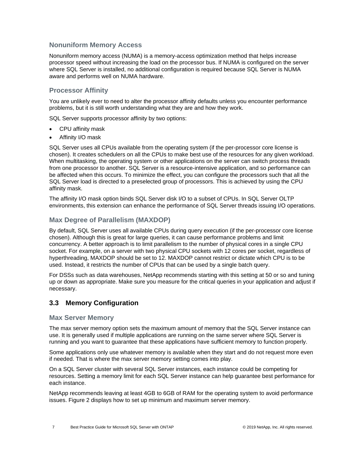#### **Nonuniform Memory Access**

Nonuniform memory access (NUMA) is a memory-access optimization method that helps increase processor speed without increasing the load on the processor bus. If NUMA is configured on the server where SQL Server is installed, no additional configuration is required because SQL Server is NUMA aware and performs well on NUMA hardware.

#### **Processor Affinity**

You are unlikely ever to need to alter the processor affinity defaults unless you encounter performance problems, but it is still worth understanding what they are and how they work.

SQL Server supports processor affinity by two options:

- CPU affinity mask
- Affinity I/O mask

SQL Server uses all CPUs available from the operating system (if the per-processor core license is chosen). It creates schedulers on all the CPUs to make best use of the resources for any given workload. When multitasking, the operating system or other applications on the server can switch process threads from one processor to another. SQL Server is a resource-intensive application, and so performance can be affected when this occurs. To minimize the effect, you can configure the processors such that all the SQL Server load is directed to a preselected group of processors. This is achieved by using the CPU affinity mask.

The affinity I/O mask option binds SQL Server disk I/O to a subset of CPUs. In SQL Server OLTP environments, this extension can enhance the performance of SQL Server threads issuing I/O operations.

#### **Max Degree of Parallelism (MAXDOP)**

By default, SQL Server uses all available CPUs during query execution (if the per-processor core license chosen). Although this is great for large queries, it can cause performance problems and limit concurrency. A better approach is to limit parallelism to the number of physical cores in a single CPU socket. For example, on a server with two physical CPU sockets with 12 cores per socket, regardless of hyperthreading, MAXDOP should be set to 12. MAXDOP cannot restrict or dictate which CPU is to be used. Instead, it restricts the number of CPUs that can be used by a single batch query.

For DSSs such as data warehouses, NetApp recommends starting with this setting at 50 or so and tuning up or down as appropriate. Make sure you measure for the critical queries in your application and adjust if necessary.

#### <span id="page-6-0"></span>**3.3 Memory Configuration**

#### **Max Server Memory**

The max server memory option sets the maximum amount of memory that the SQL Server instance can use. It is generally used if multiple applications are running on the same server where SQL Server is running and you want to guarantee that these applications have sufficient memory to function properly.

Some applications only use whatever memory is available when they start and do not request more even if needed. That is where the max server memory setting comes into play.

On a SQL Server cluster with several SQL Server instances, each instance could be competing for resources. Setting a memory limit for each SQL Server instance can help guarantee best performance for each instance.

NetApp recommends leaving at least 4GB to 6GB of RAM for the operating system to avoid performance issues. [Figure 2](#page-7-0) displays how to set up minimum and maximum server memory.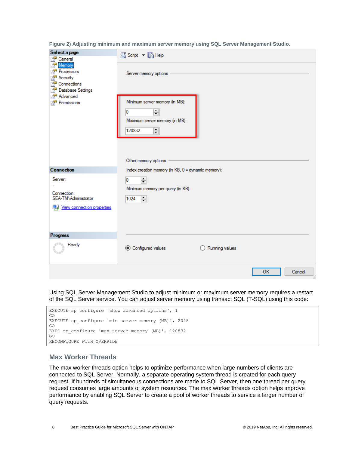<span id="page-7-0"></span>**Figure 2) Adjusting minimum and maximum server memory using SQL Server Management Studio.**

| Select a page<br>i or<br>General                                                                                                            | S Script v B Help                                                                                                                               |  |  |  |
|---------------------------------------------------------------------------------------------------------------------------------------------|-------------------------------------------------------------------------------------------------------------------------------------------------|--|--|--|
| Memory<br>P<br>Processors<br>$\mathbb{Z}$<br>Security<br>P<br>Connections<br>. <sup>2</sup><br>Database Settings<br>Advanced<br>Permissions | Server memory options<br>Minimum server memory (in MB):<br>츾<br>0<br>Maximum server memory (in MB):<br>$\div$<br>120832<br>Other memory options |  |  |  |
| <b>Connection</b>                                                                                                                           | Index creation memory (in KB, 0 = dynamic memory):                                                                                              |  |  |  |
| Server:<br>Connection:<br>SEA-TM\Administrator<br>Wew connection properties                                                                 | 0<br>$\div$<br>Minimum memory per query (in KB):<br>H<br>1024                                                                                   |  |  |  |
| <b>Progress</b>                                                                                                                             |                                                                                                                                                 |  |  |  |
| Ready                                                                                                                                       | ◯ Configured values<br>$\bigcirc$ Running values                                                                                                |  |  |  |
|                                                                                                                                             | <b>OK</b><br>Cancel                                                                                                                             |  |  |  |

Using SQL Server Management Studio to adjust minimum or maximum server memory requires a restart of the SQL Server service. You can adjust server memory using transact SQL (T-SQL) using this code:



#### **Max Worker Threads**

The max worker threads option helps to optimize performance when large numbers of clients are connected to SQL Server. Normally, a separate operating system thread is created for each query request. If hundreds of simultaneous connections are made to SQL Server, then one thread per query request consumes large amounts of system resources. The max worker threads option helps improve performance by enabling SQL Server to create a pool of worker threads to service a larger number of query requests.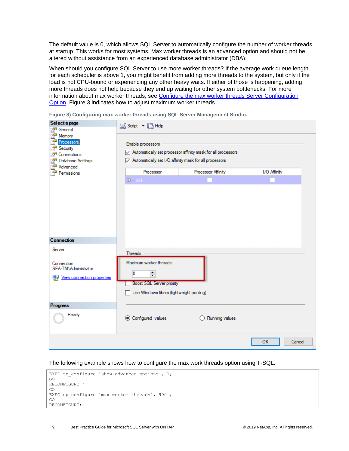The default value is 0, which allows SQL Server to automatically configure the number of worker threads at startup. This works for most systems. Max worker threads is an advanced option and should not be altered without assistance from an experienced database administrator (DBA).

When should you configure SQL Server to use more worker threads? If the average work queue length for each scheduler is above 1, you might benefit from adding more threads to the system, but only if the load is not CPU-bound or experiencing any other heavy waits. If either of those is happening, adding more threads does not help because they end up waiting for other system bottlenecks. For more information about max worker threads, see [Configure the max worker threads Server Configuration](https://msdn.microsoft.com/en-us/library/ms190219.aspx)  [Option.](https://msdn.microsoft.com/en-us/library/ms190219.aspx) [Figure 3](#page-8-0) indicates how to adjust maximum worker threads.

| Select a page<br>2<br>General                                                         | S Script v B Help                                                                                                                        |                                                              |                     |
|---------------------------------------------------------------------------------------|------------------------------------------------------------------------------------------------------------------------------------------|--------------------------------------------------------------|---------------------|
| £<br>Memory<br>Processors<br>Security<br>Connections<br>Database Settings<br>Advanced | Enable processors<br>Automatically set I/O affinity mask for all processors                                                              | Automatically set processor affinity mask for all processors |                     |
| Permissions<br>a.                                                                     | Processor                                                                                                                                | Processor Affinity                                           | I/O Affinity        |
|                                                                                       | <b>E-ALL</b>                                                                                                                             |                                                              |                     |
| <b>Connection</b>                                                                     |                                                                                                                                          |                                                              |                     |
| Server:<br>Connection:<br>SEA-TM\Administrator<br><b>图 View connection properties</b> | <b>Threads</b><br>Maximum worker threads:<br>$\div$<br>0<br><b>Boost SQL Server priority</b><br>Use Windows fibers (lightweight pooling) |                                                              |                     |
| <b>Progress</b>                                                                       |                                                                                                                                          |                                                              |                     |
| Ready                                                                                 | ◉ Configured values                                                                                                                      | Running values                                               |                     |
|                                                                                       |                                                                                                                                          |                                                              | Cancel<br><b>OK</b> |

<span id="page-8-0"></span>**Figure 3) Configuring max worker threads using SQL Server Management Studio.**

The following example shows how to configure the max work threads option using T-SQL.

|               | EXEC sp configure 'show advanced options', $1$ ; |
|---------------|--------------------------------------------------|
| GO            |                                                  |
| RECONFIGURE ; |                                                  |
| GO            |                                                  |
|               | EXEC sp configure 'max worker threads', 900;     |
| GO            |                                                  |
| RECONFIGURE:  |                                                  |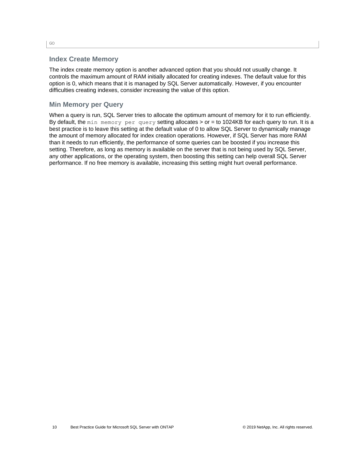#### **Index Create Memory**

The index create memory option is another advanced option that you should not usually change. It controls the maximum amount of RAM initially allocated for creating indexes. The default value for this option is 0, which means that it is managed by SQL Server automatically. However, if you encounter difficulties creating indexes, consider increasing the value of this option.

#### **Min Memory per Query**

When a query is run, SQL Server tries to allocate the optimum amount of memory for it to run efficiently. By default, the min memory per query setting allocates > or = to 1024KB for each query to run. It is a best practice is to leave this setting at the default value of 0 to allow SQL Server to dynamically manage the amount of memory allocated for index creation operations. However, if SQL Server has more RAM than it needs to run efficiently, the performance of some queries can be boosted if you increase this setting. Therefore, as long as memory is available on the server that is not being used by SQL Server, any other applications, or the operating system, then boosting this setting can help overall SQL Server performance. If no free memory is available, increasing this setting might hurt overall performance.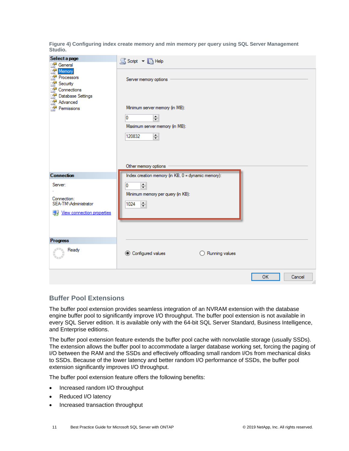<span id="page-10-0"></span>**Figure 4) Configuring index create memory and min memory per query using SQL Server Management Studio.**

| Select a page<br><b>A</b><br>General                                                                             | S Script v B Help                                                            |
|------------------------------------------------------------------------------------------------------------------|------------------------------------------------------------------------------|
| P<br>Memory<br>Processors<br>Security<br>Connections<br>Database Settings<br>Advanced<br><b>A</b><br>Permissions | Server memory options<br>Minimum server memory (in MB):                      |
|                                                                                                                  | 0<br>$\left  \div \right $                                                   |
|                                                                                                                  | Maximum server memory (in MB):                                               |
|                                                                                                                  | $\left  \rule{0pt}{10pt} \right.$<br>120832                                  |
|                                                                                                                  | Other memory options                                                         |
| <b>Connection</b>                                                                                                | Index creation memory (in KB, 0 = dynamic memory):                           |
| Server:<br>Connection:<br>SEA-TM\Administrator<br><b>图 View connection properties</b>                            | H<br>0<br>Minimum memory per query (in KB):<br>$\left  \div \right $<br>1024 |
| <b>Progress</b>                                                                                                  |                                                                              |
| Ready                                                                                                            | © Configured values<br>$\bigcirc$ Running values                             |
|                                                                                                                  | <b>OK</b><br>Cancel                                                          |

#### **Buffer Pool Extensions**

The buffer pool extension provides seamless integration of an NVRAM extension with the database engine buffer pool to significantly improve I/O throughput. The buffer pool extension is not available in every SQL Server edition. It is available only with the 64-bit SQL Server Standard, Business Intelligence, and Enterprise editions.

The buffer pool extension feature extends the buffer pool cache with nonvolatile storage (usually SSDs). The extension allows the buffer pool to accommodate a larger database working set, forcing the paging of I/O between the RAM and the SSDs and effectively offloading small random I/Os from mechanical disks to SSDs. Because of the lower latency and better random I/O performance of SSDs, the buffer pool extension significantly improves I/O throughput.

The buffer pool extension feature offers the following benefits:

- Increased random I/O throughput
- Reduced I/O latency
- Increased transaction throughput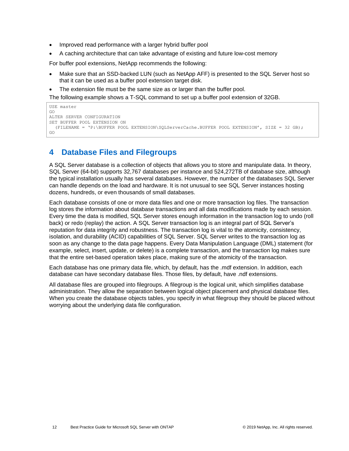- Improved read performance with a larger hybrid buffer pool
- A caching architecture that can take advantage of existing and future low-cost memory

For buffer pool extensions, NetApp recommends the following:

- Make sure that an SSD-backed LUN (such as NetApp AFF) is presented to the SQL Server host so that it can be used as a buffer pool extension target disk.
- The extension file must be the same size as or larger than the buffer pool.

The following example shows a T-SQL command to set up a buffer pool extension of 32GB.

```
USE master
GO
ALTER SERVER CONFIGURATION
SET BUFFER POOL EXTENSION ON
   (FILENAME = 'P:\BUFFER POOL EXTENSION\SQLServerCache.BUFFER POOL EXTENSION', SIZE = 32 GB);
GO
```
### <span id="page-11-0"></span>**4 Database Files and Filegroups**

A SQL Server database is a collection of objects that allows you to store and manipulate data. In theory, SQL Server (64-bit) supports 32,767 databases per instance and 524,272TB of database size, although the typical installation usually has several databases. However, the number of the databases SQL Server can handle depends on the load and hardware. It is not unusual to see SQL Server instances hosting dozens, hundreds, or even thousands of small databases.

Each database consists of one or more data files and one or more transaction log files. The transaction log stores the information about database transactions and all data modifications made by each session. Every time the data is modified, SQL Server stores enough information in the transaction log to undo (roll back) or redo (replay) the action. A SQL Server transaction log is an integral part of SQL Server's reputation for data integrity and robustness. The transaction log is vital to the atomicity, consistency, isolation, and durability (ACID) capabilities of SQL Server. SQL Server writes to the transaction log as soon as any change to the data page happens. Every Data Manipulation Language (DML) statement (for example, select, insert, update, or delete) is a complete transaction, and the transaction log makes sure that the entire set-based operation takes place, making sure of the atomicity of the transaction.

Each database has one primary data file, which, by default, has the .mdf extension. In addition, each database can have secondary database files. Those files, by default, have .ndf extensions.

All database files are grouped into filegroups. A filegroup is the logical unit, which simplifies database administration. They allow the separation between logical object placement and physical database files. When you create the database objects tables, you specify in what filegroup they should be placed without worrying about the underlying data file configuration.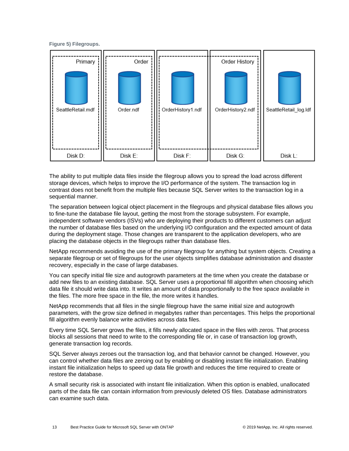#### <span id="page-12-0"></span>**Figure 5) Filegroups.**



The ability to put multiple data files inside the filegroup allows you to spread the load across different storage devices, which helps to improve the I/O performance of the system. The transaction log in contrast does not benefit from the multiple files because SQL Server writes to the transaction log in a sequential manner.

The separation between logical object placement in the filegroups and physical database files allows you to fine-tune the database file layout, getting the most from the storage subsystem. For example, independent software vendors (ISVs) who are deploying their products to different customers can adjust the number of database files based on the underlying I/O configuration and the expected amount of data during the deployment stage. Those changes are transparent to the application developers, who are placing the database objects in the filegroups rather than database files.

NetApp recommends avoiding the use of the primary filegroup for anything but system objects. Creating a separate filegroup or set of filegroups for the user objects simplifies database administration and disaster recovery, especially in the case of large databases.

You can specify initial file size and autogrowth parameters at the time when you create the database or add new files to an existing database. SQL Server uses a proportional fill algorithm when choosing which data file it should write data into. It writes an amount of data proportionally to the free space available in the files. The more free space in the file, the more writes it handles.

NetApp recommends that all files in the single filegroup have the same initial size and autogrowth parameters, with the grow size defined in megabytes rather than percentages. This helps the proportional fill algorithm evenly balance write activities across data files.

Every time SQL Server grows the files, it fills newly allocated space in the files with zeros. That process blocks all sessions that need to write to the corresponding file or, in case of transaction log growth, generate transaction log records.

SQL Server always zeroes out the transaction log, and that behavior cannot be changed. However, you can control whether data files are zeroing out by enabling or disabling instant file initialization. Enabling instant file initialization helps to speed up data file growth and reduces the time required to create or restore the database.

A small security risk is associated with instant file initialization. When this option is enabled, unallocated parts of the data file can contain information from previously deleted OS files. Database administrators can examine such data.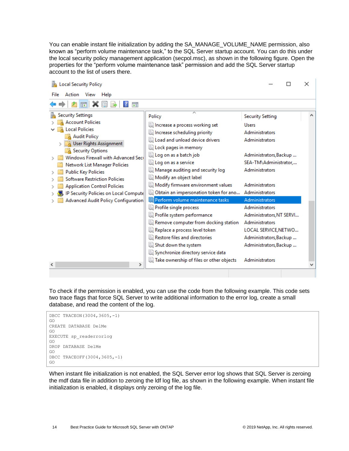You can enable instant file initialization by adding the SA\_MANAGE\_VOLUME\_NAME permission, also known as "perform volume maintenance task," to the SQL Server startup account. You can do this under the local security policy management application (secpol.msc), as shown in the following figure. Open the properties for the "perform volume maintenance task" permission and add the SQL Server startup account to the list of users there.

| Local Security Policy<br>×                                                                                                                                                                                                                                                                                                                                                                                                    |                                                                                                                                                                                                                                                                                                                                                                                                                                                                                                                                                                                                                                                           |                                                                                                                                                                                                                                                                                                                                                                                                 |   |  |  |
|-------------------------------------------------------------------------------------------------------------------------------------------------------------------------------------------------------------------------------------------------------------------------------------------------------------------------------------------------------------------------------------------------------------------------------|-----------------------------------------------------------------------------------------------------------------------------------------------------------------------------------------------------------------------------------------------------------------------------------------------------------------------------------------------------------------------------------------------------------------------------------------------------------------------------------------------------------------------------------------------------------------------------------------------------------------------------------------------------------|-------------------------------------------------------------------------------------------------------------------------------------------------------------------------------------------------------------------------------------------------------------------------------------------------------------------------------------------------------------------------------------------------|---|--|--|
| File<br>Action View<br>Help                                                                                                                                                                                                                                                                                                                                                                                                   |                                                                                                                                                                                                                                                                                                                                                                                                                                                                                                                                                                                                                                                           |                                                                                                                                                                                                                                                                                                                                                                                                 |   |  |  |
| 菲                                                                                                                                                                                                                                                                                                                                                                                                                             |                                                                                                                                                                                                                                                                                                                                                                                                                                                                                                                                                                                                                                                           |                                                                                                                                                                                                                                                                                                                                                                                                 |   |  |  |
| <b>Security Settings</b><br><b>Account Policies</b><br><b>Local Policies</b><br><b>Audit Policy</b><br>User Rights Assignment<br><b>Security Options</b><br>Windows Firewall with Advanced Seci<br>Network List Manager Policies<br><b>Public Key Policies</b><br><b>Software Restriction Policies</b><br><b>Application Control Policies</b><br>IP Security Policies on Local Compute<br>Advanced Audit Policy Configuration | Policy<br>la Increase a process working set<br>Increase scheduling priority<br>lid Load and unload device drivers<br>Lock pages in memory<br>Log on as a batch job<br>la Log on as a service<br>Manage auditing and security log<br>Modify an object label<br>Modify firmware environment values<br>Obtain an impersonation token for ano<br>Perform volume maintenance tasks<br>Profile single process<br>Profile system performance<br>Remove computer from docking station<br>Replace a process level token<br>Restore files and directories<br>Shut down the system<br>Synchronize directory service data<br>Take ownership of files or other objects | <b>Security Setting</b><br><b>Users</b><br><b>Administrators</b><br>Administrators<br>Administrators, Backup<br>SEA-TM\Administrator<br>Administrators<br><b>Administrators</b><br>Administrators<br>Administrators<br><b>Administrators</b><br>Administrators, NT SERVI<br>Administrators<br>LOCAL SERVICE, NETWO<br>Administrators, Backup<br>Administrators, Backup<br><b>Administrators</b> | W |  |  |
| $\rightarrow$<br>∢                                                                                                                                                                                                                                                                                                                                                                                                            |                                                                                                                                                                                                                                                                                                                                                                                                                                                                                                                                                                                                                                                           |                                                                                                                                                                                                                                                                                                                                                                                                 |   |  |  |
|                                                                                                                                                                                                                                                                                                                                                                                                                               |                                                                                                                                                                                                                                                                                                                                                                                                                                                                                                                                                                                                                                                           |                                                                                                                                                                                                                                                                                                                                                                                                 |   |  |  |

To check if the permission is enabled, you can use the code from the following example. This code sets two trace flags that force SQL Server to write additional information to the error log, create a small database, and read the content of the log.



When instant file initialization is not enabled, the SQL Server error log shows that SQL Server is zeroing the mdf data file in addition to zeroing the ldf log file, as shown in the following example. When instant file initialization is enabled, it displays only zeroing of the log file.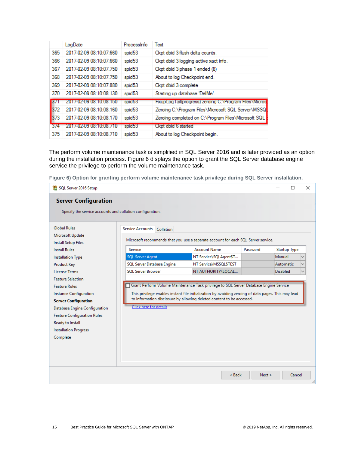|            | LogDate                 | Processinfo        | Text                                                      |
|------------|-------------------------|--------------------|-----------------------------------------------------------|
| 365        | 2017-02-09 08:10:07.660 | spid <sub>53</sub> | Ckpt dbid 3 flush delta counts.                           |
| 366        | 2017-02-09 08:10:07.660 | spid53             | Ckpt dbid 3 logging active xact info.                     |
| 367        | 2017-02-09 08:10:07 750 | spid <sub>53</sub> | Ckpt dbid 3 phase 1 ended (8)                             |
| 368        | 2017-02-09 08:10:07 750 | spid <sub>53</sub> | About to log Checkpoint end.                              |
| 369        | 2017-02-09 08:10:07 880 | spid53             | Ckpt dbid 3 complete                                      |
| 370        | 2017-02-09 08:10:08.130 | spid <sub>53</sub> | Starting up database 'DelMe'.                             |
| <b>B71</b> | 2017-02-09 08:10:08:150 | spid53             | Fixup Log Tail(progress) zeroing C:\Program Files\Microst |
| 372        | 2017-02-09 08:10:08.160 | spid <sub>53</sub> | Zeroing C:\Program Files\Microsoft SQL Server\MSSQ        |
| 373        | 2017-02-09 08:10:08.170 | spid <sub>53</sub> | Zeroing completed on C:\Program Files\Microsoft SQL       |
| 3/4        | 2017-02-09 08:10:08 710 | spid53             | Ckpt dbid 6 started                                       |
| 375        | 2017-02-09 08:10:08.710 | spid <sub>53</sub> | About to log Checkpoint begin.                            |

The perform volume maintenance task is simplified in SQL Server 2016 and is later provided as an option during the installation process. [Figure 6](#page-14-0) displays the option to grant the SQL Server database engine service the privilege to perform the volume maintenance task.

<span id="page-14-0"></span>**Figure 6) Option for granting perform volume maintenance task privilege during SQL Server installation.**

| SQL Server 2016 Setup                                                                                                                                                                                                                            |                                                                                                                                                                                                                                                                                                        |                        |          |                     | П      | $\times$ |
|--------------------------------------------------------------------------------------------------------------------------------------------------------------------------------------------------------------------------------------------------|--------------------------------------------------------------------------------------------------------------------------------------------------------------------------------------------------------------------------------------------------------------------------------------------------------|------------------------|----------|---------------------|--------|----------|
| <b>Server Configuration</b>                                                                                                                                                                                                                      |                                                                                                                                                                                                                                                                                                        |                        |          |                     |        |          |
| Specify the service accounts and collation configuration.                                                                                                                                                                                        |                                                                                                                                                                                                                                                                                                        |                        |          |                     |        |          |
| <b>Global Rules</b><br>Microsoft Update                                                                                                                                                                                                          | Service Accounts<br>Collation                                                                                                                                                                                                                                                                          |                        |          |                     |        |          |
| Install Setup Files<br><b>Install Rules</b>                                                                                                                                                                                                      | Microsoft recommends that you use a separate account for each SQL Server service.<br>Service                                                                                                                                                                                                           | <b>Account Name</b>    | Password | <b>Startup Type</b> |        |          |
| <b>Installation Type</b>                                                                                                                                                                                                                         | <b>SQL Server Agent</b>                                                                                                                                                                                                                                                                                | NT Service\SQLAgent\$T |          | Manual              |        |          |
| Product Key                                                                                                                                                                                                                                      | SQL Server Database Engine                                                                                                                                                                                                                                                                             | NT Service\MSSQL\$TEST |          | Automatic           |        |          |
| <b>License Terms</b>                                                                                                                                                                                                                             | <b>SOL Server Browser</b>                                                                                                                                                                                                                                                                              | NT AUTHORITY\LOCAL     |          |                     |        |          |
| <b>Feature Selection</b><br><b>Feature Rules</b><br>Instance Configuration<br><b>Server Configuration</b><br>Database Engine Configuration<br><b>Feature Configuration Rules</b><br>Ready to Install<br><b>Installation Progress</b><br>Complete | Grant Perform Volume Maintenance Task privilege to SQL Server Database Engine Service<br>This privilege enables instant file initialization by avoiding zeroing of data pages. This may lead<br>to information disclosure by allowing deleted content to be accessed.<br><b>Click here for details</b> |                        |          | <b>Disabled</b>     |        |          |
|                                                                                                                                                                                                                                                  |                                                                                                                                                                                                                                                                                                        | $<$ Back               | Next >   |                     | Cancel | i        |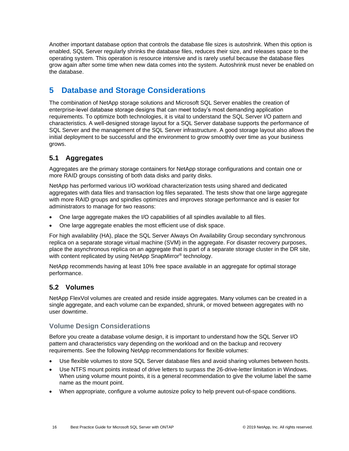Another important database option that controls the database file sizes is autoshrink. When this option is enabled, SQL Server regularly shrinks the database files, reduces their size, and releases space to the operating system. This operation is resource intensive and is rarely useful because the database files grow again after some time when new data comes into the system. Autoshrink must never be enabled on the database.

## <span id="page-15-0"></span>**5 Database and Storage Considerations**

The combination of NetApp storage solutions and Microsoft SQL Server enables the creation of enterprise-level database storage designs that can meet today's most demanding application requirements. To optimize both technologies, it is vital to understand the SQL Server I/O pattern and characteristics. A well-designed storage layout for a SQL Server database supports the performance of SQL Server and the management of the SQL Server infrastructure. A good storage layout also allows the initial deployment to be successful and the environment to grow smoothly over time as your business grows.

### <span id="page-15-1"></span>**5.1 Aggregates**

Aggregates are the primary storage containers for NetApp storage configurations and contain one or more RAID groups consisting of both data disks and parity disks.

NetApp has performed various I/O workload characterization tests using shared and dedicated aggregates with data files and transaction log files separated. The tests show that one large aggregate with more RAID groups and spindles optimizes and improves storage performance and is easier for administrators to manage for two reasons:

- One large aggregate makes the I/O capabilities of all spindles available to all files.
- One large aggregate enables the most efficient use of disk space.

For high availability (HA), place the SQL Server Always On Availability Group secondary synchronous replica on a separate storage virtual machine (SVM) in the aggregate. For disaster recovery purposes, place the asynchronous replica on an aggregate that is part of a separate storage cluster in the DR site, with content replicated by using NetApp SnapMirror<sup>®</sup> technology.

NetApp recommends having at least 10% free space available in an aggregate for optimal storage performance.

#### <span id="page-15-2"></span>**5.2 Volumes**

NetApp FlexVol volumes are created and reside inside aggregates. Many volumes can be created in a single aggregate, and each volume can be expanded, shrunk, or moved between aggregates with no user downtime.

#### **Volume Design Considerations**

Before you create a database volume design, it is important to understand how the SQL Server I/O pattern and characteristics vary depending on the workload and on the backup and recovery requirements. See the following NetApp recommendations for flexible volumes:

- Use flexible volumes to store SQL Server database files and avoid sharing volumes between hosts.
- Use NTFS mount points instead of drive letters to surpass the 26-drive-letter limitation in Windows. When using volume mount points, it is a general recommendation to give the volume label the same name as the mount point.
- When appropriate, configure a volume autosize policy to help prevent out-of-space conditions.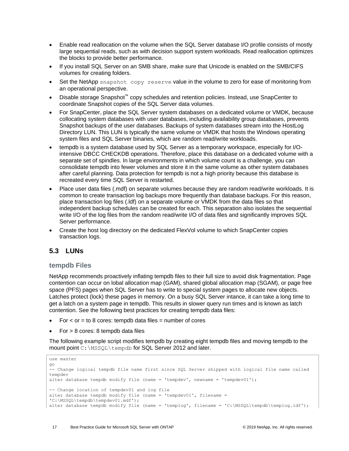- Enable read reallocation on the volume when the SQL Server database I/O profile consists of mostly large sequential reads, such as with decision support system workloads. Read reallocation optimizes the blocks to provide better performance.
- If you install SQL Server on an SMB share, make sure that Unicode is enabled on the SMB/CIFS volumes for creating folders.
- Set the NetApp snapshot copy reserve value in the volume to zero for ease of monitoring from an operational perspective.
- Disable storage Snapshot™ copy schedules and retention policies. Instead, use SnapCenter to coordinate Snapshot copies of the SQL Server data volumes.
- For SnapCenter, place the SQL Server system databases on a dedicated volume or VMDK, because collocating system databases with user databases, including availability group databases, prevents Snapshot backups of the user databases. Backups of system databases stream into the HostLog Directory LUN. This LUN is typically the same volume or VMDK that hosts the Windows operating system files and SQL Server binaries, which are random read/write workloads.
- tempdb is a system database used by SQL Server as a temporary workspace, especially for I/Ointensive DBCC CHECKDB operations. Therefore, place this database on a dedicated volume with a separate set of spindles. In large environments in which volume count is a challenge, you can consolidate tempdb into fewer volumes and store it in the same volume as other system databases after careful planning. Data protection for tempdb is not a high priority because this database is recreated every time SQL Server is restarted.
- Place user data files (.mdf) on separate volumes because they are random read/write workloads. It is common to create transaction log backups more frequently than database backups. For this reason, place transaction log files (.ldf) on a separate volume or VMDK from the data files so that independent backup schedules can be created for each. This separation also isolates the sequential write I/O of the log files from the random read/write I/O of data files and significantly improves SQL Server performance.
- Create the host log directory on the dedicated FlexVol volume to which SnapCenter copies transaction logs.

#### <span id="page-16-0"></span>**5.3 LUNs**

#### **tempdb Files**

NetApp recommends proactively inflating tempdb files to their full size to avoid disk fragmentation. Page contention can occur on lobal allocation map (GAM), shared global allocation map (SGAM), or page free space (PFS) pages when SQL Server has to write to special system pages to allocate new objects. Latches protect (lock) these pages in memory. On a busy SQL Server intance, it can take a long time to get a latch on a system page in tempdb. This results in slower query run times and is known as latch contention. See the following best practices for creating tempdb data files:

- $For < or = to 8 cores:$  tempdb data files  $=$  number of cores
- $For > 8$  cores: 8 tempdb data files

The following example script modifies tempdb by creating eight tempdb files and moving tempdb to the mount point C:\MSSQL\tempdb for SQL Server 2012 and later.

```
use master
go
-- Change logical tempdb file name first since SQL Server shipped with logical file name called 
tempdev
alter database tempdb modify file (name = 'tempdev', newname = 'tempdev01');
-- Change location of tempdev01 and log file
alter database tempdb modify file (name = 'tempdev01', filename = 
'C:\MSSQL\tempdb\tempdev01.mdf');
alter database tempdb modify file (name = 'templog', filename = 'C:\MSSQL\tempdb\templog.ldf');
```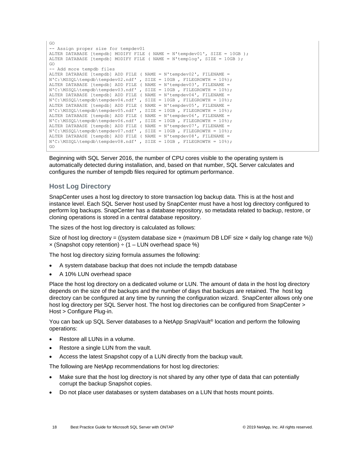```
GO
-- Assign proper size for tempdev01
ALTER DATABASE [tempdb] MODIFY FILE ( NAME = N'tempdev01', SIZE = 10GB );
ALTER DATABASE [tempdb] MODIFY FILE ( NAME = N'templog', SIZE = 10GB );
GO
-- Add more tempdb files
ALTER DATABASE [tempdb] ADD FILE ( NAME = N'tempdev02', FILENAME = 
N'C:\MSQL\tempdb\tempdev02.pdf, SIZE = 10GB, FILEGROWTH = 10%;
ALTER DATABASE [tempdb] ADD FILE ( NAME = N'tempdev03', FILENAME = 
N'C:\MSSQL\tempdb\tempdev03.ndf' , SIZE = 10GB , FILEGROWTH = 10%);
ALTER DATABASE [tempdb] ADD FILE ( NAME = N'tempdev04', FILENAME = 
N^{\circ}:\MSSQL\tempdb\tempdev04.ndf', SIZE = 10GB, FILEGROWTH = 10%);
ALTER DATABASE [tempdb] ADD FILE ( NAME = N'tempdev05', FILENAME = 
N'C:\MSSQL\tempdb\tempdev05.ndf' , SIZE = 10GB , FILEGROWTH = 10%);
ALTER DATABASE [tempdb] ADD FILE ( NAME = N'tempdev06', FILENAME = 
\hbox{N'C:\MSSQL}\ALTER DATABASE [tempdb] ADD FILE ( NAME = N'tempdev07', FILENAME = 
N'C:\MSSQL\tempdb\tempdev07.ndf' , SIZE = 10GB , FILEGROWTH = 10%);
ALTER DATABASE [tempdb] ADD FILE ( NAME = N'tempdev08', FILENAME = 
N'C:\MSSQL\tempdb\tempdev08.ndf' , SIZE = 10GB , FILEGROWTH = 10%);
GO
```
Beginning with SQL Server 2016, the number of CPU cores visible to the operating system is automatically detected during installation, and, based on that number, SQL Server calculates and configures the number of tempdb files required for optimum performance.

#### **Host Log Directory**

SnapCenter uses a host log directory to store transaction log backup data. This is at the host and instance level. Each SQL Server host used by SnapCenter must have a host log directory configured to perform log backups. SnapCenter has a database repository, so metadata related to backup, restore, or cloning operations is stored in a central database repository.

The sizes of the host log directory is calculated as follows:

Size of host log directory = ((system database size + (maximum DB LDF size  $\times$  daily log change rate %))  $\mathbf x$  (Snapshot copy retention)  $\div$  (1 – LUN overhead space %)

The host log directory sizing formula assumes the following:

- A system database backup that does not include the tempdb database
- A 10% LUN overhead space

Place the host log directory on a dedicated volume or LUN. The amount of data in the host log directory depends on the size of the backups and the number of days that backups are retained. The host log directory can be configured at any time by running the configuration wizard. SnapCenter allows only one host log directory per SQL Server host. The host log directories can be configured from SnapCenter > Host > Configure Plug-in.

You can back up SQL Server databases to a NetApp SnapVault® location and perform the following operations:

- Restore all LUNs in a volume.
- Restore a single LUN from the vault.
- Access the latest Snapshot copy of a LUN directly from the backup vault.

The following are NetApp recommendations for host log directories:

- Make sure that the host log directory is not shared by any other type of data that can potentially corrupt the backup Snapshot copies.
- Do not place user databases or system databases on a LUN that hosts mount points.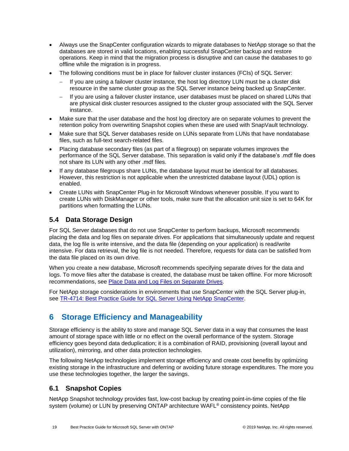- Always use the SnapCenter configuration wizards to migrate databases to NetApp storage so that the databases are stored in valid locations, enabling successful SnapCenter backup and restore operations. Keep in mind that the migration process is disruptive and can cause the databases to go offline while the migration is in progress.
- The following conditions must be in place for failover cluster instances (FCIs) of SQL Server:
	- If you are using a failover cluster instance, the host log directory LUN must be a cluster disk resource in the same cluster group as the SQL Server instance being backed up SnapCenter.
	- − If you are using a failover cluster instance, user databases must be placed on shared LUNs that are physical disk cluster resources assigned to the cluster group associated with the SQL Server instance.
- Make sure that the user database and the host log directory are on separate volumes to prevent the retention policy from overwriting Snapshot copies when these are used with SnapVault technology.
- Make sure that SQL Server databases reside on LUNs separate from LUNs that have nondatabase files, such as full-text search-related files.
- Placing database secondary files (as part of a filegroup) on separate volumes improves the performance of the SQL Server database. This separation is valid only if the database's .mdf file does not share its LUN with any other .mdf files.
- If any database filegroups share LUNs, the database layout must be identical for all databases. However, this restriction is not applicable when the unrestricted database layout (UDL) option is enabled.
- Create LUNs with SnapCenter Plug-in for Microsoft Windows whenever possible. If you want to create LUNs with DiskManager or other tools, make sure that the allocation unit size is set to 64K for partitions when formatting the LUNs.

#### <span id="page-18-0"></span>**5.4 Data Storage Design**

For SQL Server databases that do not use SnapCenter to perform backups, Microsoft recommends placing the data and log files on separate drives. For applications that simultaneously update and request data, the log file is write intensive, and the data file (depending on your application) is read/write intensive. For data retrieval, the log file is not needed. Therefore, requests for data can be satisfied from the data file placed on its own drive.

When you create a new database, Microsoft recommends specifying separate drives for the data and logs. To move files after the database is created, the database must be taken offline. For more Microsoft recommendations, see [Place Data and Log Files on Separate Drives.](https://docs.microsoft.com/en-us/sql/relational-databases/policy-based-management/place-data-and-log-files-on-separate-drives?view=sql-server-ver15)

For NetApp storage considerations in environments that use SnapCenter with the SQL Server plug-in, see [TR-4714: Best Practice Guide for SQL Server Using NetApp SnapCenter.](https://www.netapp.com/us/media/tr-4714.pdf)

## <span id="page-18-1"></span>**6 Storage Efficiency and Manageability**

Storage efficiency is the ability to store and manage SQL Server data in a way that consumes the least amount of storage space with little or no effect on the overall performance of the system. Storage efficiency goes beyond data deduplication; it is a combination of RAID, provisioning (overall layout and utilization), mirroring, and other data protection technologies.

The following NetApp technologies implement storage efficiency and create cost benefits by optimizing existing storage in the infrastructure and deferring or avoiding future storage expenditures. The more you use these technologies together, the larger the savings.

#### <span id="page-18-2"></span>**6.1 Snapshot Copies**

NetApp Snapshot technology provides fast, low-cost backup by creating point-in-time copies of the file system (volume) or LUN by preserving ONTAP architecture WAFL<sup>®</sup> consistency points. NetApp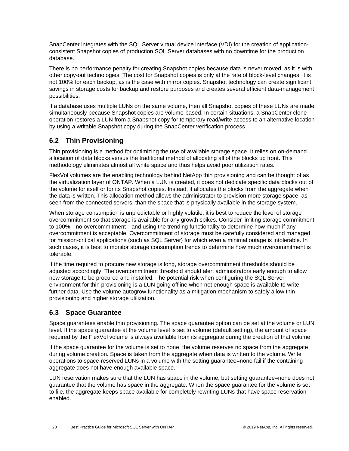SnapCenter integrates with the SQL Server virtual device interface (VDI) for the creation of applicationconsistent Snapshot copies of production SQL Server databases with no downtime for the production database.

There is no performance penalty for creating Snapshot copies because data is never moved, as it is with other copy-out technologies. The cost for Snapshot copies is only at the rate of block-level changes; it is not 100% for each backup, as is the case with mirror copies. Snapshot technology can create significant savings in storage costs for backup and restore purposes and creates several efficient data-management possibilities.

If a database uses multiple LUNs on the same volume, then all Snapshot copies of these LUNs are made simultaneously because Snapshot copies are volume-based. In certain situations, a SnapCenter clone operation restores a LUN from a Snapshot copy for temporary read/write access to an alternative location by using a writable Snapshot copy during the SnapCenter verification process.

### <span id="page-19-0"></span>**6.2 Thin Provisioning**

Thin provisioning is a method for optimizing the use of available storage space. It relies on on-demand allocation of data blocks versus the traditional method of allocating all of the blocks up front. This methodology eliminates almost all white space and thus helps avoid poor utilization rates.

FlexVol volumes are the enabling technology behind NetApp thin provisioning and can be thought of as the virtualization layer of ONTAP. When a LUN is created, it does not dedicate specific data blocks out of the volume for itself or for its Snapshot copies. Instead, it allocates the blocks from the aggregate when the data is written. This allocation method allows the administrator to provision more storage space, as seen from the connected servers, than the space that is physically available in the storage system.

When storage consumption is unpredictable or highly volatile, it is best to reduce the level of storage overcommitment so that storage is available for any growth spikes. Consider limiting storage commitment to 100%—no overcommitment—and using the trending functionality to determine how much if any overcommitment is acceptable. Overcommitment of storage must be carefully considered and managed for mission-critical applications (such as SQL Server) for which even a minimal outage is intolerable. In such cases, it is best to monitor storage consumption trends to determine how much overcommitment is tolerable.

If the time required to procure new storage is long, storage overcommitment thresholds should be adjusted accordingly. The overcommitment threshold should alert administrators early enough to allow new storage to be procured and installed. The potential risk when configuring the SQL Server environment for thin provisioning is a LUN going offline when not enough space is available to write further data. Use the volume autogrow functionality as a mitigation mechanism to safely allow thin provisioning and higher storage utilization.

### <span id="page-19-1"></span>**6.3 Space Guarantee**

Space guarantees enable thin provisioning. The space guarantee option can be set at the volume or LUN level. If the space guarantee at the volume level is set to volume (default setting), the amount of space required by the FlexVol volume is always available from its aggregate during the creation of that volume.

If the space guarantee for the volume is set to none, the volume reserves no space from the aggregate during volume creation. Space is taken from the aggregate when data is written to the volume. Write operations to space-reserved LUNs in a volume with the setting guarantee=none fail if the containing aggregate does not have enough available space.

LUN reservation makes sure that the LUN has space in the volume, but setting guarantee=none does not guarantee that the volume has space in the aggregate. When the space guarantee for the volume is set to file, the aggregate keeps space available for completely rewriting LUNs that have space reservation enabled.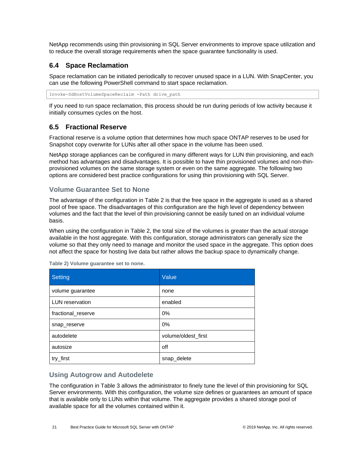NetApp recommends using thin provisioning in SQL Server environments to improve space utilization and to reduce the overall storage requirements when the space guarantee functionality is used.

#### <span id="page-20-0"></span>**6.4 Space Reclamation**

Space reclamation can be initiated periodically to recover unused space in a LUN. With SnapCenter, you can use the following PowerShell command to start space reclamation.

Invoke-SdHostVolumeSpaceReclaim -Path drive\_path

If you need to run space reclamation, this process should be run during periods of low activity because it initially consumes cycles on the host.

#### <span id="page-20-1"></span>**6.5 Fractional Reserve**

Fractional reserve is a volume option that determines how much space ONTAP reserves to be used for Snapshot copy overwrite for LUNs after all other space in the volume has been used.

NetApp storage appliances can be configured in many different ways for LUN thin provisioning, and each method has advantages and disadvantages. It is possible to have thin provisioned volumes and non-thinprovisioned volumes on the same storage system or even on the same aggregate. The following two options are considered best practice configurations for using thin provisioning with SQL Server.

#### **Volume Guarantee Set to None**

The advantage of the configuration in Table 2 is that the free space in the aggregate is used as a shared pool of free space. The disadvantages of this configuration are the high level of dependency between volumes and the fact that the level of thin provisioning cannot be easily tuned on an individual volume basis.

When using the configuration in Table 2, the total size of the volumes is greater than the actual storage available in the host aggregate. With this configuration, storage administrators can generally size the volume so that they only need to manage and monitor the used space in the aggregate. This option does not affect the space for hosting live data but rather allows the backup space to dynamically change.

| Setting                | Value               |  |
|------------------------|---------------------|--|
| volume guarantee       | none                |  |
| <b>LUN</b> reservation | enabled             |  |
| fractional_reserve     | 0%                  |  |
| snap_reserve           | 0%                  |  |
| autodelete             | volume/oldest_first |  |
| autosize               | off                 |  |
| try_first              | snap_delete         |  |

<span id="page-20-2"></span>**Table 2) Volume guarantee set to none.**

#### **Using Autogrow and Autodelete**

The configuration in Table 3 allows the administrator to finely tune the level of thin provisioning for SQL Server environments. With this configuration, the volume size defines or guarantees an amount of space that is available only to LUNs within that volume. The aggregate provides a shared storage pool of available space for all the volumes contained within it.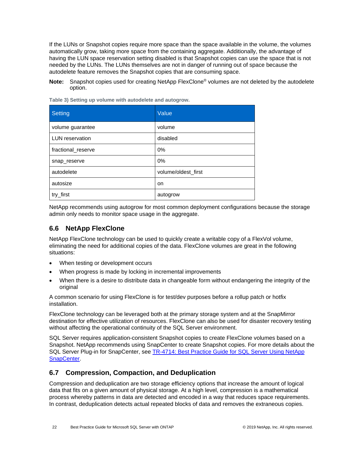If the LUNs or Snapshot copies require more space than the space available in the volume, the volumes automatically grow, taking more space from the containing aggregate. Additionally, the advantage of having the LUN space reservation setting disabled is that Snapshot copies can use the space that is not needed by the LUNs. The LUNs themselves are not in danger of running out of space because the autodelete feature removes the Snapshot copies that are consuming space.

**Note:** Snapshot copies used for creating NetApp FlexClone® volumes are not deleted by the autodelete option.

| <b>Setting</b>         | Value               |
|------------------------|---------------------|
| volume guarantee       | volume              |
| <b>LUN</b> reservation | disabled            |
| fractional_reserve     | 0%                  |
| snap_reserve           | 0%                  |
| autodelete             | volume/oldest_first |
| autosize               | on                  |
| try_first              | autogrow            |

<span id="page-21-2"></span>**Table 3) Setting up volume with autodelete and autogrow.**

NetApp recommends using autogrow for most common deployment configurations because the storage admin only needs to monitor space usage in the aggregate.

#### <span id="page-21-0"></span>**6.6 NetApp FlexClone**

NetApp FlexClone technology can be used to quickly create a writable copy of a FlexVol volume, eliminating the need for additional copies of the data. FlexClone volumes are great in the following situations:

- When testing or development occurs
- When progress is made by locking in incremental improvements
- When there is a desire to distribute data in changeable form without endangering the integrity of the original

A common scenario for using FlexClone is for test/dev purposes before a rollup patch or hotfix installation.

FlexClone technology can be leveraged both at the primary storage system and at the SnapMirror destination for effective utilization of resources. FlexClone can also be used for disaster recovery testing without affecting the operational continuity of the SQL Server environment.

SQL Server requires application-consistent Snapshot copies to create FlexClone volumes based on a Snapshot. NetApp recommends using SnapCenter to create Snapshot copies. For more details about the SQL Server Plug-in for SnapCenter, see [TR-4714: Best Practice Guide for SQL Server Using NetApp](https://www.netapp.com/us/media/tr-4714.pdf)  [SnapCenter.](https://www.netapp.com/us/media/tr-4714.pdf)

#### <span id="page-21-1"></span>**6.7 Compression, Compaction, and Deduplication**

Compression and deduplication are two storage efficiency options that increase the amount of logical data that fits on a given amount of physical storage. At a high level, compression is a mathematical process whereby patterns in data are detected and encoded in a way that reduces space requirements. In contrast, deduplication detects actual repeated blocks of data and removes the extraneous copies.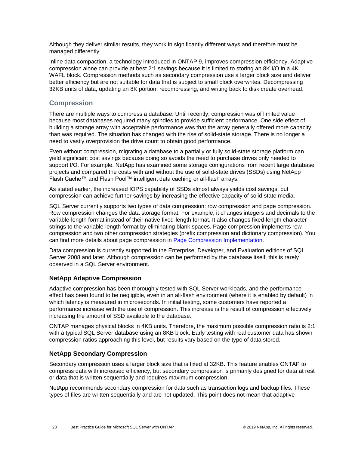Although they deliver similar results, they work in significantly different ways and therefore must be managed differently.

Inline data compaction, a technology introduced in ONTAP 9, improves compression efficiency. Adaptive compression alone can provide at best 2:1 savings because it is limited to storing an 8K I/O in a 4K WAFL block. Compression methods such as secondary compression use a larger block size and deliver better efficiency but are not suitable for data that is subject to small block overwrites. Decompressing 32KB units of data, updating an 8K portion, recompressing, and writing back to disk create overhead.

#### **Compression**

There are multiple ways to compress a database. Until recently, compression was of limited value because most databases required many spindles to provide sufficient performance. One side effect of building a storage array with acceptable performance was that the array generally offered more capacity than was required. The situation has changed with the rise of solid-state storage. There is no longer a need to vastly overprovision the drive count to obtain good performance.

Even without compression, migrating a database to a partially or fully solid-state storage platform can yield significant cost savings because doing so avoids the need to purchase drives only needed to support I/O. For example, NetApp has examined some storage configurations from recent large database projects and compared the costs with and without the use of solid-state drives (SSDs) using NetApp Flash Cache™ and Flash Pool™ intelligent data caching or all-flash arrays.

As stated earlier, the increased IOPS capability of SSDs almost always yields cost savings, but compression can achieve further savings by increasing the effective capacity of solid-state media.

SQL Server currently supports two types of data compression: row compression and page compression. Row compression changes the data storage format. For example, it changes integers and decimals to the variable-length format instead of their native fixed-length format. It also changes fixed-length character strings to the variable-length format by eliminating blank spaces. Page compression implements row compression and two other compression strategies (prefix compression and dictionary compression). You can find more details about page compression in [Page Compression Implementation.](https://msdn.microsoft.com/en-us/library/cc280464.aspx)

Data compression is currently supported in the Enterprise, Developer, and Evaluation editions of SQL Server 2008 and later. Although compression can be performed by the database itself, this is rarely observed in a SQL Server environment.

#### **NetApp Adaptive Compression**

Adaptive compression has been thoroughly tested with SQL Server workloads, and the performance effect has been found to be negligible, even in an all-flash environment (where it is enabled by default) in which latency is measured in microseconds. In initial testing, some customers have reported a performance increase with the use of compression. This increase is the result of compression effectively increasing the amount of SSD available to the database.

ONTAP manages physical blocks in 4KB units. Therefore, the maximum possible compression ratio is 2:1 with a typical SQL Server database using an 8KB block. Early testing with real customer data has shown compression ratios approaching this level, but results vary based on the type of data stored.

#### **NetApp Secondary Compression**

Secondary compression uses a larger block size that is fixed at 32KB. This feature enables ONTAP to compress data with increased efficiency, but secondary compression is primarily designed for data at rest or data that is written sequentially and requires maximum compression.

NetApp recommends secondary compression for data such as transaction logs and backup files. These types of files are written sequentially and are not updated. This point does not mean that adaptive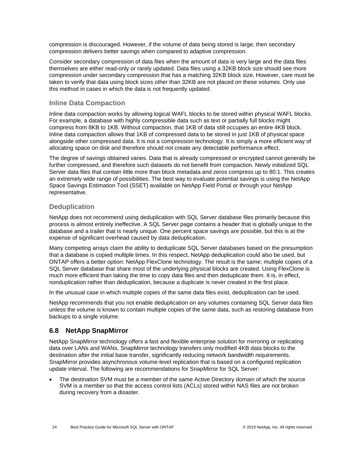compression is discouraged. However, if the volume of data being stored is large, then secondary compression delivers better savings when compared to adaptive compression.

Consider secondary compression of data files when the amount of data is very large and the data files themselves are either read-only or rarely updated. Data files using a 32KB block size should see more compression under secondary compression that has a matching 32KB block size. However, care must be taken to verify that data using block sizes other than 32KB are not placed on these volumes. Only use this method in cases in which the data is not frequently updated.

#### **Inline Data Compaction**

Inline data compaction works by allowing logical WAFL blocks to be stored within physical WAFL blocks. For example, a database with highly compressible data such as text or partially full blocks might compress from 8KB to 1KB. Without compaction, that 1KB of data still occupies an entire 4KB block. Inline data compaction allows that 1KB of compressed data to be stored in just 1KB of physical space alongside other compressed data. It is not a compression technology. It is simply a more efficient way of allocating space on disk and therefore should not create any detectable performance effect.

The degree of savings obtained varies. Data that is already compressed or encrypted cannot generally be further compressed, and therefore such datasets do not benefit from compaction. Newly initialized SQL Server data files that contain little more than block metadata and zeros compress up to 80:1. This creates an extremely wide range of possibilities. The best way to evaluate potential savings is using the NetApp Space Savings Estimation Tool (SSET) available on NetApp Field Portal or through your NetApp representative.

#### **Deduplication**

NetApp does not recommend using deduplication with SQL Server database files primarily because this process is almost entirely ineffective. A SQL Server page contains a header that is globally unique to the database and a trailer that is nearly unique. One percent space savings are possible, but this is at the expense of significant overhead caused by data deduplication.

Many competing arrays claim the ability to deduplicate SQL Server databases based on the presumption that a database is copied multiple times. In this respect, NetApp deduplication could also be used, but ONTAP offers a better option: NetApp FlexClone technology. The result is the same; multiple copies of a SQL Server database that share most of the underlying physical blocks are created. Using FlexClone is much more efficient than taking the time to copy data files and then deduplicate them. It is, in effect, nonduplication rather than deduplication, because a duplicate is never created in the first place.

In the unusual case in which multiple copies of the same data files exist, deduplication can be used.

NetApp recommends that you not enable deduplication on any volumes containing SQL Server data files unless the volume is known to contain multiple copies of the same data, such as restoring database from backups to a single volume.

#### <span id="page-23-0"></span>**6.8 NetApp SnapMirror**

NetApp SnapMirror technology offers a fast and flexible enterprise solution for mirroring or replicating data over LANs and WANs. SnapMirror technology transfers only modified 4KB data blocks to the destination after the initial base transfer, significantly reducing network bandwidth requirements. SnapMirror provides asynchronous volume-level replication that is based on a configured replication update interval. The following are recommendations for SnapMirror for SQL Server:

• The destination SVM must be a member of the same Active Directory domain of which the source SVM is a member so that the access control lists (ACLs) stored within NAS files are not broken during recovery from a disaster.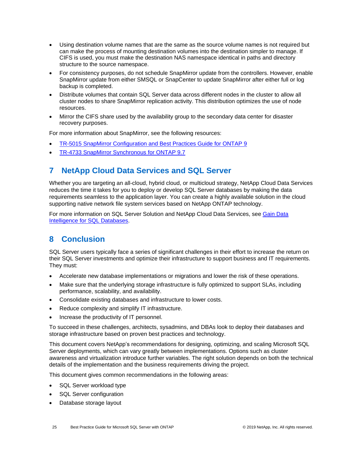- Using destination volume names that are the same as the source volume names is not required but can make the process of mounting destination volumes into the destination simpler to manage. If CIFS is used, you must make the destination NAS namespace identical in paths and directory structure to the source namespace.
- For consistency purposes, do not schedule SnapMirror update from the controllers. However, enable SnapMirror update from either SMSQL or SnapCenter to update SnapMirror after either full or log backup is completed.
- Distribute volumes that contain SQL Server data across different nodes in the cluster to allow all cluster nodes to share SnapMirror replication activity. This distribution optimizes the use of node resources.
- Mirror the CIFS share used by the availability group to the secondary data center for disaster recovery purposes.

For more information about SnapMirror, see the following resources:

- [TR-5015 SnapMirror Configuration and Best Practices Guide for ONTAP 9](https://www.netapp.com/us/media/tr-4015.pdf)
- <span id="page-24-0"></span>• [TR-4733 SnapMirror Synchronous for ONTAP 9.7](https://www.netapp.com/us/media/tr-4733.pdf)

### **7 NetApp Cloud Data Services and SQL Server**

Whether you are targeting an all-cloud, hybrid cloud, or multicloud strategy, NetApp Cloud Data Services reduces the time it takes for you to deploy or develop SQL Server databases by making the data requirements seamless to the application layer. You can create a highly available solution in the cloud supporting native network file system services based on NetApp ONTAP technology.

For more information on SQL Server Solution and NetApp Cloud Data Services, see [Gain Data](https://cloud.netapp.com/solutions/sql-server-database)  [Intelligence for SQL Databases.](https://cloud.netapp.com/solutions/sql-server-database)

### <span id="page-24-1"></span>**8 Conclusion**

SQL Server users typically face a series of significant challenges in their effort to increase the return on their SQL Server investments and optimize their infrastructure to support business and IT requirements. They must:

- Accelerate new database implementations or migrations and lower the risk of these operations.
- Make sure that the underlying storage infrastructure is fully optimized to support SLAs, including performance, scalability, and availability.
- Consolidate existing databases and infrastructure to lower costs.
- Reduce complexity and simplify IT infrastructure.
- Increase the productivity of IT personnel.

To succeed in these challenges, architects, sysadmins, and DBAs look to deploy their databases and storage infrastructure based on proven best practices and technology.

This document covers NetApp's recommendations for designing, optimizing, and scaling Microsoft SQL Server deployments, which can vary greatly between implementations. Options such as cluster awareness and virtualization introduce further variables. The right solution depends on both the technical details of the implementation and the business requirements driving the project.

This document gives common recommendations in the following areas:

- SQL Server workload type
- SQL Server configuration
- Database storage layout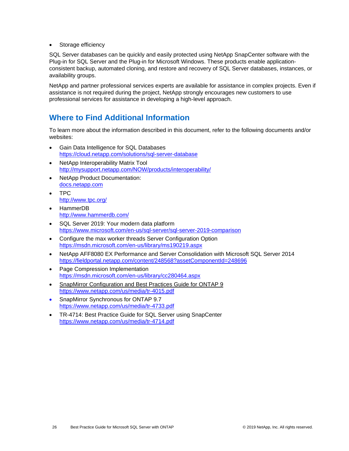• Storage efficiency

SQL Server databases can be quickly and easily protected using NetApp SnapCenter software with the Plug-in for SQL Server and the Plug-in for Microsoft Windows. These products enable applicationconsistent backup, automated cloning, and restore and recovery of SQL Server databases, instances, or availability groups.

NetApp and partner professional services experts are available for assistance in complex projects. Even if assistance is not required during the project, NetApp strongly encourages new customers to use professional services for assistance in developing a high-level approach.

## <span id="page-25-0"></span>**Where to Find Additional Information**

To learn more about the information described in this document, refer to the following documents and/or websites:

- Gain Data Intelligence for SQL Databases <https://cloud.netapp.com/solutions/sql-server-database>
- NetApp Interoperability Matrix Tool <http://mysupport.netapp.com/NOW/products/interoperability/>
- NetApp Product Documentation: [docs.netapp.com](https://www.netapp.com/us/documentation/index.aspx)
- TPC <http://www.tpc.org/>
- [HammerDB](http://www.hammerdb.com/) <http://www.hammerdb.com/>
- SQL Server 2019: Your modern data platform <https://www.microsoft.com/en-us/sql-server/sql-server-2019-comparison>
- [Configure the max worker threads Server Configuration Option](https://msdn.microsoft.com/en-us/library/ms190219.aspx) <https://msdn.microsoft.com/en-us/library/ms190219.aspx>
- [NetApp AFF8080 EX Performance and Server Consolidation with Microsoft SQL Server 2014](https://fieldportal.netapp.com/content/248568?assetComponentId=248696) <https://fieldportal.netapp.com/content/248568?assetComponentId=248696>
- [Page Compression Implementation](https://msdn.microsoft.com/en-us/library/cc280464.aspx) <https://msdn.microsoft.com/en-us/library/cc280464.aspx>
- SnapMirror Configuration and Best Practices Guide for ONTAP 9 <https://www.netapp.com/us/media/tr-4015.pdf>
- SnapMirror Synchronous for ONTAP 9.7 <https://www.netapp.com/us/media/tr-4733.pdf>
- TR-4714: Best Practice Guide for SQL Server using SnapCenter <https://www.netapp.com/us/media/tr-4714.pdf>